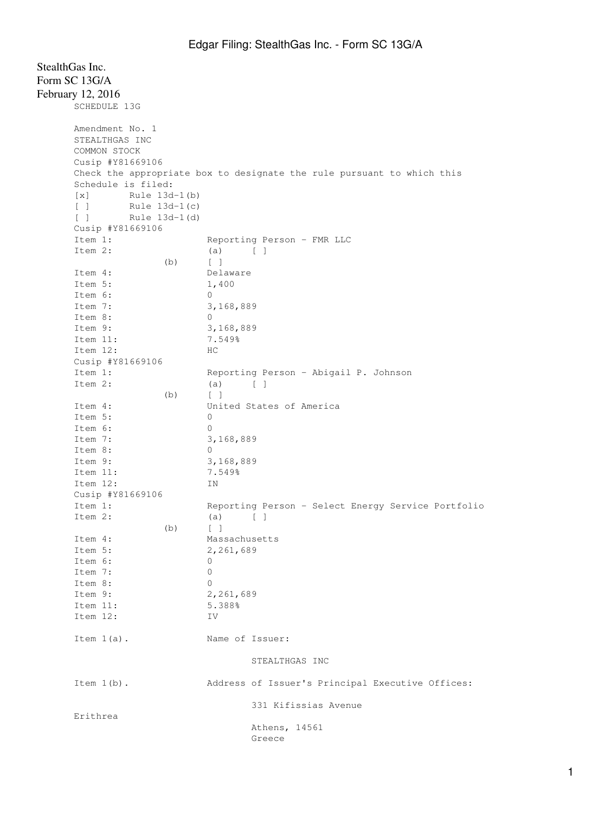| Form SC 13G/A                                      |                                                                        |
|----------------------------------------------------|------------------------------------------------------------------------|
| February 12, 2016                                  |                                                                        |
| SCHEDULE 13G                                       |                                                                        |
|                                                    |                                                                        |
| Amendment No. 1                                    |                                                                        |
| STEALTHGAS INC                                     |                                                                        |
| COMMON STOCK                                       |                                                                        |
| Cusip #Y81669106                                   |                                                                        |
|                                                    | Check the appropriate box to designate the rule pursuant to which this |
| Schedule is filed:                                 |                                                                        |
| $\lceil x \rceil$<br>Rule 13d-1(b)                 |                                                                        |
| Rule 13d-1(c)<br>$\Box$                            |                                                                        |
| $\begin{bmatrix} 1 \end{bmatrix}$<br>Rule 13d-1(d) |                                                                        |
| Cusip #Y81669106                                   |                                                                        |
| Item 1:                                            | Reporting Person - FMR LLC                                             |
| Item 2:                                            | (a)<br>$\Box$                                                          |
| (b)                                                | $\lceil$ $\rceil$                                                      |
| Item 4:                                            | Delaware                                                               |
| Item 5:                                            | 1,400                                                                  |
| Item 6:                                            | 0                                                                      |
| Item 7:                                            | 3,168,889                                                              |
| Item 8:                                            | 0                                                                      |
| Item 9:                                            | 3,168,889                                                              |
| Item 11:                                           | 7.549%                                                                 |
| Item 12:                                           | HС                                                                     |
| Cusip #Y81669106                                   |                                                                        |
| Item 1:                                            | Reporting Person - Abigail P. Johnson                                  |
| Item 2:                                            | (a)<br>$\begin{bmatrix} 1 \end{bmatrix}$                               |
| (b)                                                | $\sqrt{ }$                                                             |
| Item 4:                                            | United States of America                                               |
| Item 5:                                            | 0                                                                      |
| Item 6:                                            | $\mathbf{0}$                                                           |
| Item 7:                                            | 3,168,889                                                              |
| Item 8:                                            | 0                                                                      |
| Item 9:                                            | 3,168,889                                                              |
| Item 11:                                           | 7.549%                                                                 |
| Item 12:                                           | ΙN                                                                     |
| Cusip #Y81669106                                   |                                                                        |
| Item 1:                                            | Reporting Person - Select Energy Service Portfolio                     |
| Item 2:                                            | $\begin{bmatrix} 1 \end{bmatrix}$<br>(a)                               |
| (b)                                                | $\begin{bmatrix} 1 \end{bmatrix}$                                      |
| Item 4:                                            | Massachusetts                                                          |
| Item 5:                                            | 2,261,689                                                              |
| Item 6:                                            | 0                                                                      |
| Item 7:                                            | $\mathbf 0$                                                            |
| Item 8:                                            | 0                                                                      |
| Item 9:                                            | 2,261,689                                                              |
| Item 11:                                           | 5.388%                                                                 |
| Item 12:                                           | IV                                                                     |
|                                                    |                                                                        |
| Item $1(a)$ .                                      | Name of Issuer:                                                        |
|                                                    |                                                                        |
|                                                    | STEALTHGAS INC                                                         |
| Item $1(b)$ .                                      | Address of Issuer's Principal Executive Offices:                       |
|                                                    | 331 Kifissias Avenue                                                   |
| Erithrea                                           | Athens, 14561<br>Greece                                                |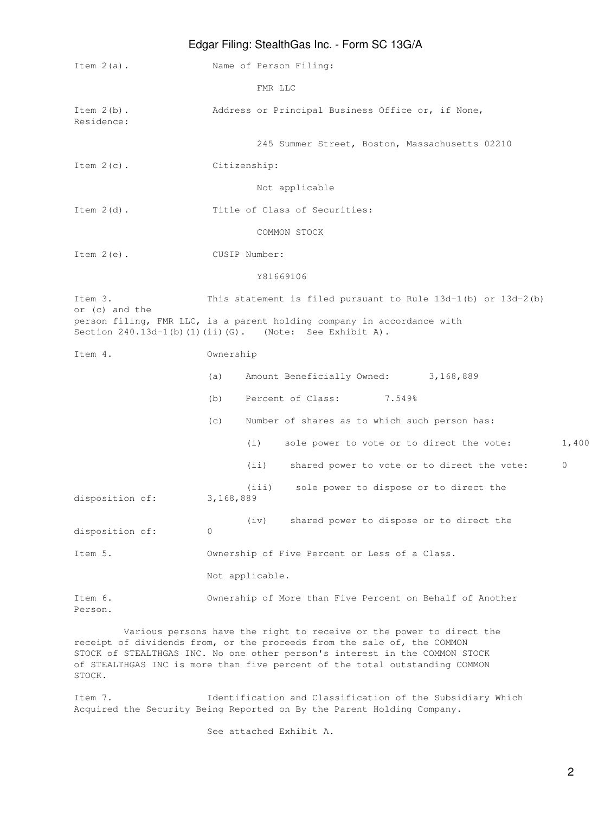| Edgar Filing: StealthGas Inc. - Form SC 13G/A |                                                                                                                                        |  |
|-----------------------------------------------|----------------------------------------------------------------------------------------------------------------------------------------|--|
| Item $2(a)$ .                                 | Name of Person Filing:                                                                                                                 |  |
|                                               | FMR LLC                                                                                                                                |  |
| Item $2(b)$ .<br>Residence:                   | Address or Principal Business Office or, if None,                                                                                      |  |
|                                               | 245 Summer Street, Boston, Massachusetts 02210                                                                                         |  |
| Item $2(c)$ .                                 | Citizenship:                                                                                                                           |  |
|                                               | Not applicable                                                                                                                         |  |
| Item $2(d)$ .                                 | Title of Class of Securities:                                                                                                          |  |
|                                               | COMMON STOCK                                                                                                                           |  |
| Item $2(e)$ .                                 | CUSIP Number:                                                                                                                          |  |
|                                               | Y81669106                                                                                                                              |  |
| Item 3.<br>or (c) and the                     | This statement is filed pursuant to Rule $13d-1$ (b) or $13d-2$ (b)                                                                    |  |
|                                               | person filing, FMR LLC, is a parent holding company in accordance with<br>Section $240.13d-1$ (b) (1) (ii) (G). (Note: See Exhibit A). |  |
| Item 4.                                       | Ownership                                                                                                                              |  |
|                                               | Amount Beneficially Owned: 3, 168, 889<br>(a)                                                                                          |  |
|                                               | Percent of Class:<br>7.549%<br>(b)                                                                                                     |  |
|                                               | Number of shares as to which such person has:<br>(C)                                                                                   |  |
|                                               | (i)<br>1,400<br>sole power to vote or to direct the vote:                                                                              |  |
|                                               | (i)<br>shared power to vote or to direct the vote:<br>$\mathbf{0}$                                                                     |  |
| disposition of:                               | sole power to dispose or to direct the<br>(iii)<br>3,168,889                                                                           |  |
| disposition of:                               | (iv)<br>shared power to dispose or to direct the<br>0                                                                                  |  |
| Item 5.                                       | Ownership of Five Percent or Less of a Class.                                                                                          |  |
|                                               | Not applicable.                                                                                                                        |  |
| Item 6.<br>Person.                            | Ownership of More than Five Percent on Behalf of Another                                                                               |  |

 Various persons have the right to receive or the power to direct the receipt of dividends from, or the proceeds from the sale of, the COMMON STOCK of STEALTHGAS INC. No one other person's interest in the COMMON STOCK of STEALTHGAS INC is more than five percent of the total outstanding COMMON STOCK.

Item 7. Identification and Classification of the Subsidiary Which Acquired the Security Being Reported on By the Parent Holding Company.

See attached Exhibit A.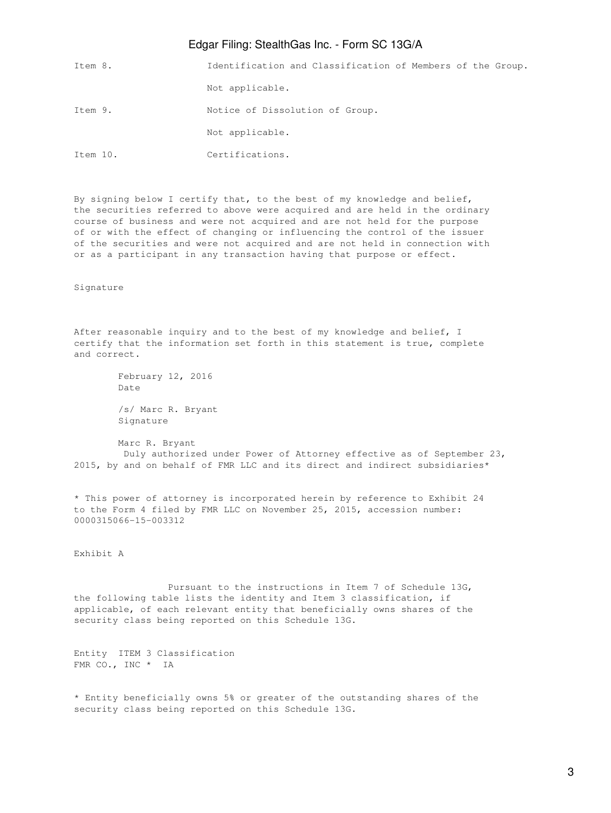## Edgar Filing: StealthGas Inc. - Form SC 13G/A

| Item 8.  | Identification and Classification of Members of the Group. |
|----------|------------------------------------------------------------|
|          | Not applicable.                                            |
| Item 9.  | Notice of Dissolution of Group.                            |
|          | Not applicable.                                            |
| Item 10. | Certifications.                                            |

By signing below I certify that, to the best of my knowledge and belief, the securities referred to above were acquired and are held in the ordinary course of business and were not acquired and are not held for the purpose of or with the effect of changing or influencing the control of the issuer of the securities and were not acquired and are not held in connection with or as a participant in any transaction having that purpose or effect.

Signature

After reasonable inquiry and to the best of my knowledge and belief, I certify that the information set forth in this statement is true, complete and correct.

> February 12, 2016 Date /s/ Marc R. Bryant Signature

 Marc R. Bryant Duly authorized under Power of Attorney effective as of September 23, 2015, by and on behalf of FMR LLC and its direct and indirect subsidiaries\*

\* This power of attorney is incorporated herein by reference to Exhibit 24 to the Form 4 filed by FMR LLC on November 25, 2015, accession number: 0000315066-15-003312

Exhibit A

 Pursuant to the instructions in Item 7 of Schedule 13G, the following table lists the identity and Item 3 classification, if applicable, of each relevant entity that beneficially owns shares of the security class being reported on this Schedule 13G.

Entity ITEM 3 Classification FMR CO., INC \* IA

\* Entity beneficially owns 5% or greater of the outstanding shares of the security class being reported on this Schedule 13G.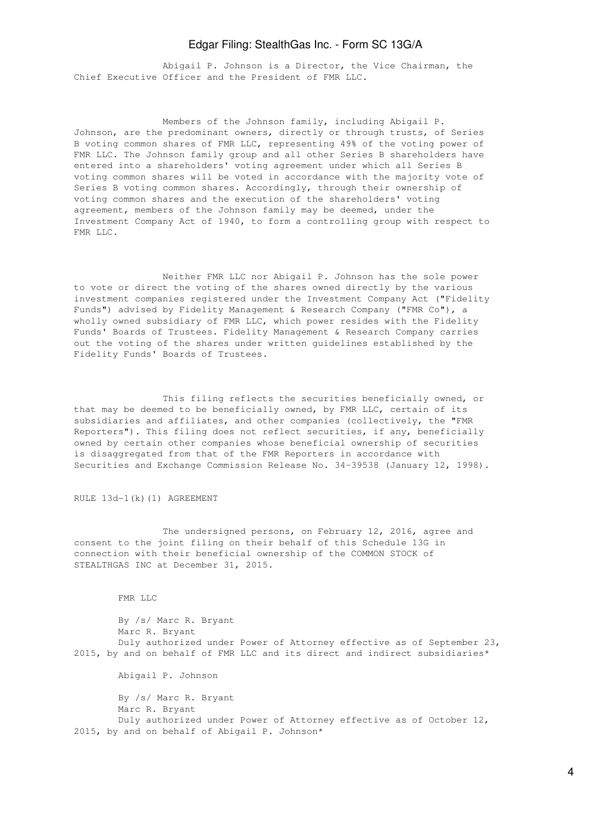## Edgar Filing: StealthGas Inc. - Form SC 13G/A

 Abigail P. Johnson is a Director, the Vice Chairman, the Chief Executive Officer and the President of FMR LLC.

 Members of the Johnson family, including Abigail P. Johnson, are the predominant owners, directly or through trusts, of Series B voting common shares of FMR LLC, representing 49% of the voting power of FMR LLC. The Johnson family group and all other Series B shareholders have entered into a shareholders' voting agreement under which all Series B voting common shares will be voted in accordance with the majority vote of Series B voting common shares. Accordingly, through their ownership of voting common shares and the execution of the shareholders' voting agreement, members of the Johnson family may be deemed, under the Investment Company Act of 1940, to form a controlling group with respect to FMR LLC.

 Neither FMR LLC nor Abigail P. Johnson has the sole power to vote or direct the voting of the shares owned directly by the various investment companies registered under the Investment Company Act ("Fidelity Funds") advised by Fidelity Management & Research Company ("FMR Co"), a wholly owned subsidiary of FMR LLC, which power resides with the Fidelity Funds' Boards of Trustees. Fidelity Management & Research Company carries out the voting of the shares under written guidelines established by the Fidelity Funds' Boards of Trustees.

 This filing reflects the securities beneficially owned, or that may be deemed to be beneficially owned, by FMR LLC, certain of its subsidiaries and affiliates, and other companies (collectively, the "FMR Reporters"). This filing does not reflect securities, if any, beneficially owned by certain other companies whose beneficial ownership of securities is disaggregated from that of the FMR Reporters in accordance with Securities and Exchange Commission Release No. 34-39538 (January 12, 1998).

RULE 13d-1(k)(1) AGREEMENT

 The undersigned persons, on February 12, 2016, agree and consent to the joint filing on their behalf of this Schedule 13G in connection with their beneficial ownership of the COMMON STOCK of STEALTHGAS INC at December 31, 2015.

FMR LLC

 By /s/ Marc R. Bryant Marc R. Bryant Duly authorized under Power of Attorney effective as of September 23, 2015, by and on behalf of FMR LLC and its direct and indirect subsidiaries\* Abigail P. Johnson By /s/ Marc R. Bryant Marc R. Bryant Duly authorized under Power of Attorney effective as of October 12, 2015, by and on behalf of Abigail P. Johnson\*